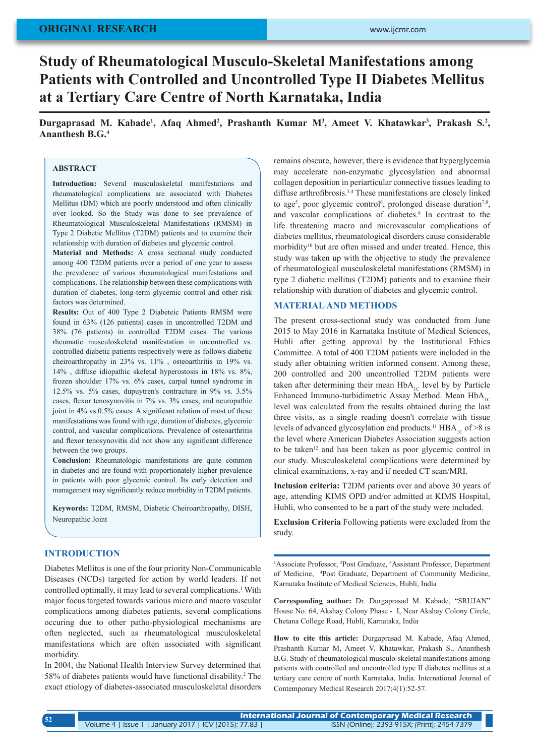# **Study of Rheumatological Musculo-Skeletal Manifestations among Patients with Controlled and Uncontrolled Type II Diabetes Mellitus at a Tertiary Care Centre of North Karnataka, India**

Durgaprasad M. Kabade<sup>1</sup>, Afaq Ahmed<sup>2</sup>, Prashanth Kumar M<sup>3</sup>, Ameet V. Khatawkar<sup>3</sup>, Prakash S.<sup>2</sup>, **Ananthesh B.G.4**

#### **ABSTRACT**

**Introduction:** Several musculoskeletal manifestations and rheumatological complications are associated with Diabetes Mellitus (DM) which are poorly understood and often clinically over looked. So the Study was done to see prevalence of Rheumatological Musculoskeletal Manifestations (RMSM) in Type 2 Diabetic Mellitus (T2DM) patients and to examine their relationship with duration of diabetes and glycemic control.

**Material and Methods:** A cross sectional study conducted among 400 T2DM patients over a period of one year to assess the prevalence of various rheumatological manifestations and complications. The relationship between these complications with duration of diabetes, long-term glycemic control and other risk factors was determined.

**Results:** Out of 400 Type 2 Diabeteic Patients RMSM were found in 63% (126 patients) cases in uncontrolled T2DM and 38% (76 patients) in controlled T2DM cases. The various rheumatic musculoskeletal manifestation in uncontrolled vs. controlled diabetic patients respectively were as follows diabetic cheiroarthropathy in 23% vs. 11% , osteoarthritis in 19% vs. 14% , diffuse idiopathic skeletal hyperostosis in 18% vs. 8%, frozen shoulder 17% vs. 6% cases, carpal tunnel syndrome in 12.5% vs. 5% cases, dupuytren's contracture in 9% vs. 3.5% cases, flexor tenosynovitis in 7% vs. 3% cases, and neuropathic joint in 4% vs.0.5% cases. A significant relation of most of these manifestations was found with age, duration of diabetes, glycemic control, and vascular complications. Prevalence of osteoarthritis and flexor tenosynovitis did not show any significant difference between the two groups.

**Conclusion:** Rheumatologic manifestations are quite common in diabetes and are found with proportionately higher prevalence in patients with poor glycemic control. Its early detection and management may significantly reduce morbidity in T2DM patients.

**Keywords:** T2DM, RMSM, Diabetic Cheiroarthropathy, DISH, Neuropathic Joint

### **INTRODUCTION**

Diabetes Mellitus is one of the four priority Non-Communicable Diseases (NCDs) targeted for action by world leaders. If not controlled optimally, it may lead to several complications.<sup>1</sup> With major focus targeted towards various micro and macro vascular complications among diabetes patients, several complications occuring due to other patho-physiological mechanisms are often neglected, such as rheumatological musculoskeletal manifestations which are often associated with significant morbidity.

In 2004, the National Health Interview Survey determined that 58% of diabetes patients would have functional disability.<sup>2</sup> The exact etiology of diabetes-associated musculoskeletal disorders

remains obscure, however, there is evidence that hyperglycemia may accelerate non-enzymatic glycosylation and abnormal collagen deposition in periarticular connective tissues leading to diffuse arthrofibrosis.<sup>3,4</sup> These manifestations are closely linked to age<sup>5</sup>, poor glycemic control<sup>6</sup>, prolonged disease duration<sup>7,8</sup>, and vascular complications of diabetes.<sup>9</sup> In contrast to the life threatening macro and microvascular complications of diabetes mellitus, rheumatological disorders cause considerable morbidity<sup>10</sup> but are often missed and under treated. Hence, this study was taken up with the objective to study the prevalence of rheumatological musculoskeletal manifestations (RMSM) in type 2 diabetic mellitus (T2DM) patients and to examine their relationship with duration of diabetes and glycemic control.

#### **MATERIAL AND METHODS**

The present cross-sectional study was conducted from June 2015 to May 2016 in Karnataka Institute of Medical Sciences, Hubli after getting approval by the Institutional Ethics Committee. A total of 400 T2DM patients were included in the study after obtaining written informed consent. Among these, 200 controlled and 200 uncontrolled T2DM patients were taken after determining their mean  $HbA_{1C}$  level by by Particle Enhanced Immuno-turbidimetric Assay Method. Mean  $HbA_{1C}$ level was calculated from the results obtained during the last three visits, as a single reading doesn't correlate with tissue levels of advanced glycosylation end products.<sup>11</sup> HBA<sub>1c</sub> of >8 is the level where American Diabetes Association suggests action to be taken<sup>12</sup> and has been taken as poor glycemic control in our study. Musculoskeletal complications were determined by clinical examinations, x-ray and if needed CT scan/MRI.

**Inclusion criteria:** T2DM patients over and above 30 years of age, attending KIMS OPD and/or admitted at KIMS Hospital, Hubli, who consented to be a part of the study were included.

**Exclusion Criteria** Following patients were excluded from the study.

<sup>1</sup>Associate Professor, <sup>2</sup>Post Graduate, <sup>3</sup>Assistant Professor, Department of Medicine, 4 Post Graduate, Department of Community Medicine, Karnataka Institute of Medical Sciences, Hubli, India

**Corresponding author:** Dr. Durgaprasad M. Kabade, "SRUJAN" House No. 64, Akshay Colony Phase - I, Near Akshay Colony Circle, Chetana College Road, Hubli, Karnataka, India

**How to cite this article:** Durgaprasad M. Kabade, Afaq Ahmed, Prashanth Kumar M, Ameet V. Khatawkar, Prakash S., Ananthesh B.G. Study of rheumatological musculo-skeletal manifestations among patients with controlled and uncontrolled type II diabetes mellitus at a tertiary care centre of north Karnataka, India. International Journal of Contemporary Medical Research 2017;4(1):52-57.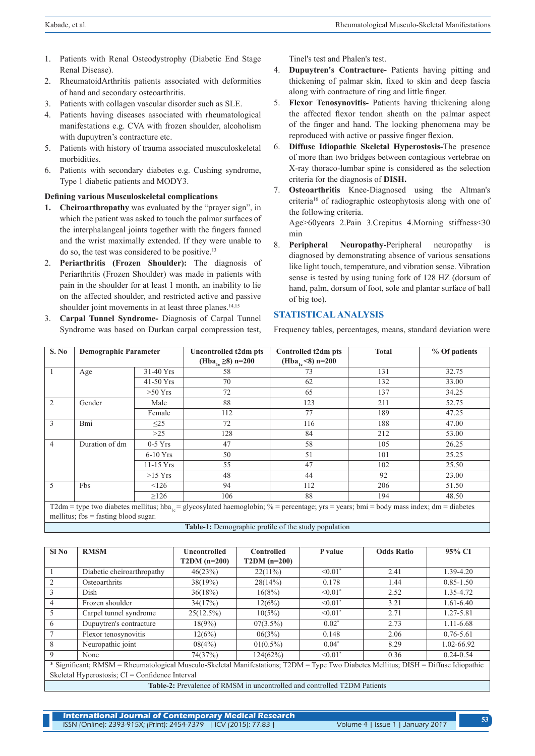- 1. Patients with Renal Osteodystrophy (Diabetic End Stage Renal Disease).
- 2. RheumatoidArthritis patients associated with deformities of hand and secondary osteoarthritis.
- 3. Patients with collagen vascular disorder such as SLE.
- 4. Patients having diseases associated with rheumatological manifestations e.g. CVA with frozen shoulder, alcoholism with dupuytren's contracture etc.
- 5. Patients with history of trauma associated musculoskeletal morbidities.
- 6. Patients with secondary diabetes e.g. Cushing syndrome, Type 1 diabetic patients and MODY3.

## **Defining various Musculoskeletal complications**

- **1. Cheiroarthropathy** was evaluated by the "prayer sign", in which the patient was asked to touch the palmar surfaces of the interphalangeal joints together with the fingers fanned and the wrist maximally extended. If they were unable to do so, the test was considered to be positive.13
- 2. **Periarthritis (Frozen Shoulder):** The diagnosis of Periarthritis (Frozen Shoulder) was made in patients with pain in the shoulder for at least 1 month, an inability to lie on the affected shoulder, and restricted active and passive shoulder joint movements in at least three planes.<sup>14,15</sup>
- 3. **Carpal Tunnel Syndrome-** Diagnosis of Carpal Tunnel Syndrome was based on Durkan carpal compression test,

Tinel's test and Phalen's test.

- 4. **Dupuytren's Contracture-** Patients having pitting and thickening of palmar skin, fixed to skin and deep fascia along with contracture of ring and little finger.
- 5. **Flexor Tenosynovitis-** Patients having thickening along the affected flexor tendon sheath on the palmar aspect of the finger and hand. The locking phenomena may be reproduced with active or passive finger flexion.
- 6. **Diffuse Idiopathic Skeletal Hyperostosis-**The presence of more than two bridges between contagious vertebrae on X-ray thoraco-lumbar spine is considered as the selection criteria for the diagnosis of **DISH.**
- 7. **Osteoarthritis** Knee-Diagnosed using the Altman's criteria16 of radiographic osteophytosis along with one of the following criteria. Age>60years 2.Pain 3.Crepitus 4.Morning stiffness<30

min

8. **Peripheral Neuropathy-**Peripheral neuropathy is diagnosed by demonstrating absence of various sensations like light touch, temperature, and vibration sense. Vibration sense is tested by using tuning fork of 128 HZ (dorsum of hand, palm, dorsum of foot, sole and plantar surface of ball of big toe).

# **STATISTICAL ANALYSIS**

Frequency tables, percentages, means, standard deviation were

| S. No          | <b>Demographic Parameter</b> |                                                                                                                                                                                                                  | Uncontrolled t2dm pts              | Controlled t2dm pts          | <b>Total</b> | % Of patients |  |  |
|----------------|------------------------------|------------------------------------------------------------------------------------------------------------------------------------------------------------------------------------------------------------------|------------------------------------|------------------------------|--------------|---------------|--|--|
|                |                              |                                                                                                                                                                                                                  | (Hba <sub>1c</sub> $\geq$ 8) n=200 | (Hba <sub>1c</sub> <8) n=200 |              |               |  |  |
|                | Age                          | 31-40 Yrs                                                                                                                                                                                                        | 58                                 | 73                           | 131          | 32.75         |  |  |
|                |                              | 41-50 Yrs                                                                                                                                                                                                        | 70                                 | 62                           | 132          | 33.00         |  |  |
|                |                              | $>50$ Yrs                                                                                                                                                                                                        | 72                                 | 65                           | 137          | 34.25         |  |  |
| 2              | Gender                       | Male                                                                                                                                                                                                             | 88                                 | 123                          | 211          | 52.75         |  |  |
|                |                              | Female                                                                                                                                                                                                           | 112                                | 77                           | 189          | 47.25         |  |  |
| 3              | Bmi                          | $\leq$ 25                                                                                                                                                                                                        | 72                                 | 116                          | 188          | 47.00         |  |  |
|                |                              | >25                                                                                                                                                                                                              | 128                                | 84                           | 212          | 53.00         |  |  |
| $\overline{4}$ | Duration of dm               | $0-5$ Yrs                                                                                                                                                                                                        | 47                                 | 58                           | 105          | 26.25         |  |  |
|                |                              | $6-10$ Yrs                                                                                                                                                                                                       | 50                                 | 51                           | 101          | 25.25         |  |  |
|                |                              | $11-15$ Yrs                                                                                                                                                                                                      | 55                                 | 47                           | 102          | 25.50         |  |  |
|                |                              | $>15$ Yrs                                                                                                                                                                                                        | 48                                 | 44                           | 92           | 23.00         |  |  |
| 5              | Fbs                          | 126                                                                                                                                                                                                              | 94                                 | 112                          | 206          | 51.50         |  |  |
|                |                              | $\geq$ 126                                                                                                                                                                                                       | 106                                | 88                           | 194          | 48.50         |  |  |
|                |                              |                                                                                                                                                                                                                  |                                    |                              |              |               |  |  |
|                |                              | T2dm = type two diabetes mellitus; hba <sub>1</sub> = glycosylated haemoglobin; % = percentage; yrs = years; bmi = body mass index; dm = diabetes<br>mellitus; $f_{\text{DS}} = f_{\text{asting blood sugar}}$ . |                                    |                              |              |               |  |  |

**Table-1:** Demographic profile of the study population

| $SI$ No        | <b>RMSM</b>                                                                                                                         | <b>Uncontrolled</b> | <b>Controlled</b> | P value                  | <b>Odds Ratio</b> | 95% CI        |
|----------------|-------------------------------------------------------------------------------------------------------------------------------------|---------------------|-------------------|--------------------------|-------------------|---------------|
|                |                                                                                                                                     | $T2DM (n=200)$      | $T2DM (n=200)$    |                          |                   |               |
|                | Diabetic cheiroarthropathy                                                                                                          | 46(23%)             | $22(11\%)$        | $< 0.01$ <sup>*</sup>    | 2.41              | $1.39 - 4.20$ |
| 2              | <b>Osteoarthrits</b>                                                                                                                | 38(19%)             | 28(14%)           | 0.178                    | 1.44              | $0.85 - 1.50$ |
| 3              | Dish                                                                                                                                | 36(18%)             | 16(8%)            | $\leq 0.01$ <sup>*</sup> | 2.52              | 1.35-4.72     |
| $\overline{4}$ | Frozen shoulder                                                                                                                     | 34(17%)             | 12(6%)            | $\leq 0.01$ <sup>*</sup> | 3.21              | $1.61 - 6.40$ |
| 5              | Carpel tunnel syndrome                                                                                                              | 25(12.5%)           | 10(5%)            | $\leq 0.01$ <sup>*</sup> | 2.71              | 1.27-5.81     |
| 6              | Dupuytren's contracture                                                                                                             | $18(9\%)$           | $07(3.5\%)$       | $0.02^*$                 | 2.73              | 1.11-6.68     |
|                | Flexor tenosynovitis                                                                                                                | 12(6%)              | 06(3%)            | 0.148                    | 2.06              | $0.76 - 5.61$ |
| 8              | Neuropathic joint                                                                                                                   | 08(4%)              | $01(0.5\%)$       | $0.04*$                  | 8.29              | 1.02-66.92    |
| 9              | None                                                                                                                                | 74(37%)             | 124(62%)          | $< 0.01$ <sup>*</sup>    | 0.36              | $0.24 - 0.54$ |
|                | * Significant; RMSM = Rheumatological Musculo-Skeletal Manifestations; T2DM = Type Two Diabetes Mellitus; DISH = Diffuse Idiopathic |                     |                   |                          |                   |               |
|                | Skeletal Hyperostosis; $CI =$ Confidence Interval                                                                                   |                     |                   |                          |                   |               |

**Table-2:** Prevalence of RMSM in uncontrolled and controlled T2DM Patients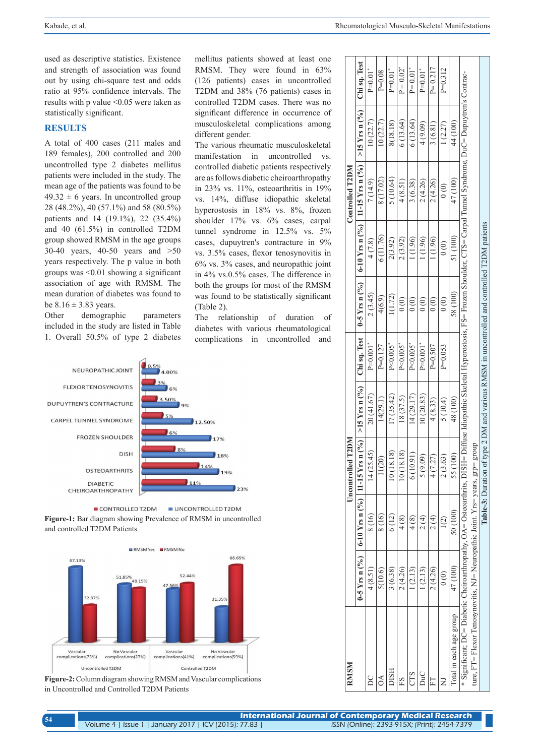used as descriptive statistics. Existence and strength of association was found out by using chi-square test and odds ratio at 95% confidence intervals. The results with p value <0.05 were taken as statistically significant.

### **RESULTS**

A total of 400 cases (211 males and 189 females), 200 controlled and 200 uncontrolled type 2 diabetes mellitus patients were included in the study. The mean age of the patients was found to be  $49.32 \pm 6$  years. In uncontrolled group 28 (48.2%), 40 (57.1%) and 58 (80.5%) patients and 14 (19.1%), 22 (35.4%) and 40 (61.5%) in controlled T2DM group showed RMSM in the age groups 30-40 years, 40-50 years and >50 years respectively. The p value in both groups was <0.01 showing a significant association of age with RMSM. The mean duration of diabetes was found to be  $8.16 \pm 3.83$  years.

Other demographic parameters included in the study are listed in Table 1. Overall 50.5% of type 2 diabetes



The various rheumatic musculoskeletal manifestation in uncontrolled vs. controlled diabetic patients respectively are as follows diabetic cheiroarthropathy in 23% vs. 11%, osteoarthritis in 19% vs. 14%, diffuse idiopathic skeletal hyperostosis in 18% vs. 8%, frozen shoulder 17% vs. 6% cases, carpal tunnel syndrome in 12.5% vs. 5% cases, dupuytren's contracture in 9% vs. 3.5% cases, flexor tenosynovitis in 6% vs. 3% cases, and neuropathic joint in 4% vs.0.5% cases. The difference in both the groups for most of the RMSM was found to be statistically significant (Table 2).

The relationship of duration of diabetes with various rheumatological complications in uncontrolled and



CONTROLLED T2DM UNCONTROLLED T2DM **Figure-1:** Bar diagram showing Prevalence of RMSM in uncontrolled and controlled T2DM Patients



**Figure-2:** Column diagram showing RMSM and Vascular complications in Uncontrolled and Controlled T2DM Patients

| RMSM                                                                                                                                                                                                                                                                                |                                      |          | Uncontrolled T2DM                                                                                   |            |                          |                                              |                                      | Controlled T2DM                                  |                           |                         |
|-------------------------------------------------------------------------------------------------------------------------------------------------------------------------------------------------------------------------------------------------------------------------------------|--------------------------------------|----------|-----------------------------------------------------------------------------------------------------|------------|--------------------------|----------------------------------------------|--------------------------------------|--------------------------------------------------|---------------------------|-------------------------|
|                                                                                                                                                                                                                                                                                     |                                      |          | 0-5 Yrs n (%)   6-10 Yrs n (%)   11-15 Yrs n (%)   >15 Yrs n (%)                                    |            | Chi sq. Test             |                                              |                                      | 0-5 Yrs n (%)   6-10 Yrs n (%)   11-15 Yrs n (%) | $>15$ Yrs n $(^{9}/_{0})$ | Chi sq. Test            |
|                                                                                                                                                                                                                                                                                     | 4(8.51)                              | 8(16)    | 14(25.45)                                                                                           | 20 (41.67) | $P=0.001$ <sup>*</sup>   | 2(3.45)                                      | 4(7.8)                               | 7(14.9)                                          | 10(22.7)                  | $P=0.01$ <sup>*</sup>   |
| À                                                                                                                                                                                                                                                                                   | 5(10.6)                              | 8(16)    | 11(20)                                                                                              | 14(29.1)   | $P=0.127$                | 4(6.9)                                       | 6(11.76)                             | 8 (17.02)                                        | 10(22.7)                  | $P = 0.08$              |
| HSIC                                                                                                                                                                                                                                                                                | 3(6.38)                              | 6 (12)   | 10(18.18)                                                                                           | (7(35.42)  | $P < 0.005$ <sup>*</sup> | 1(1.72)                                      | 2(3.92)                              | 5(10.64)                                         | 8(18.18)                  | $P=0.01$ <sup>*</sup>   |
|                                                                                                                                                                                                                                                                                     | 2(4.26)                              | 4(8)     | 10(18.18)                                                                                           | 18(37.5)   | $P < 0.005$ <sup>*</sup> | $\begin{pmatrix} 0 \\ 0 \end{pmatrix}$       | 2(3.92)                              | 4(8.51)                                          | 6(13.64)                  | $P = 0.02"$             |
|                                                                                                                                                                                                                                                                                     | 1(2.13)                              | 4(8)     | 6(10.91)                                                                                            | 14 (29.17) | $P < 0.005$ <sup>*</sup> | $\begin{matrix} 0 & 0 \\ 0 & 0 \end{matrix}$ | 1(1.96)                              | 3(6.38)                                          | 6 (13.64)                 | $P = 0.01$ <sup>*</sup> |
| ЭuС                                                                                                                                                                                                                                                                                 | 1(2.13)                              | 2(4)     | 5(9.09)                                                                                             | 10(20.83)  | $P=0.001$ <sup>*</sup>   | 0(0)                                         | 1(1.96)                              | 2(4.26)                                          | 4(9.09)                   | $P=0.01$ <sup>*</sup>   |
|                                                                                                                                                                                                                                                                                     | 2(4.26)                              | 2(4)     | 4(7.27)                                                                                             | 4(8.33)    | $P=0.507$                | $\begin{pmatrix} 0 \\ 0 \end{pmatrix}$       | 1(1.96)                              | 2(4.26)                                          | 3(6.81)                   | $P = 0.217$             |
|                                                                                                                                                                                                                                                                                     | $\begin{matrix} 0 \\ 0 \end{matrix}$ | 1(2)     | 2(3.63)                                                                                             | 5(10.4)    | $P=0.053$                | 0(0)                                         | $\begin{matrix} 0 \\ 0 \end{matrix}$ | $\begin{matrix} 0 \\ 0 \end{matrix}$             | 1(2.27)                   | $P=0.312$               |
| Total in each age group                                                                                                                                                                                                                                                             | 47 (100)                             | 50 (100) | 55 (100)                                                                                            | 48 (100)   |                          | 58 (100)                                     | 51 (100)                             | 47 (100)                                         | 44 (100)                  |                         |
| * Significant; DC= Diabetic Cheiroarthropathy, OA= Osteoarthrits, DISH= Diffuse Idiopathic Skeletal Hyperostosis, FS= Frozen Shoulder, CTS= Carpal Tunnel Syndrome, DuC= Dupuytren's Contrac-<br>ture, $FT$ = Flexor Tenosynovitis, NJ= Neuropathic Joint. Yrs= years, $grp = grou$ |                                      |          |                                                                                                     |            |                          |                                              |                                      |                                                  |                           |                         |
|                                                                                                                                                                                                                                                                                     |                                      |          | <b>Table-3:</b> Duration of type 2 DM and various RMSM in uncontrolled and controlled T2DM patients |            |                          |                                              |                                      |                                                  |                           |                         |
|                                                                                                                                                                                                                                                                                     |                                      |          |                                                                                                     |            |                          |                                              |                                      |                                                  |                           |                         |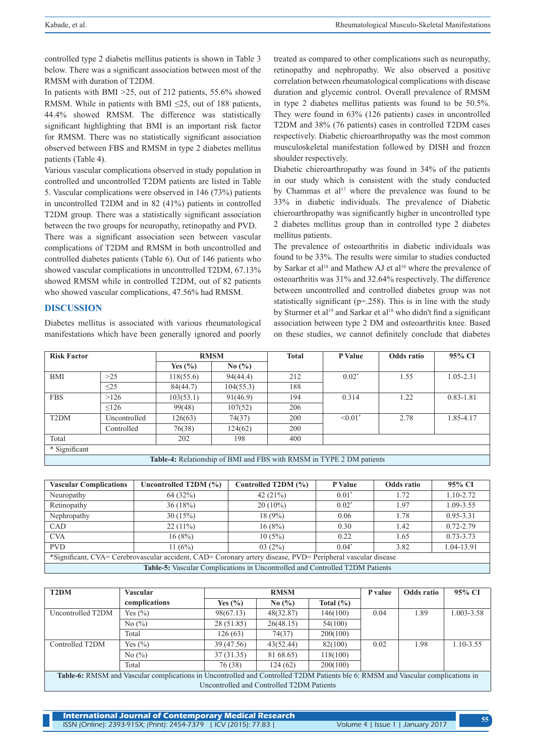controlled type 2 diabetis mellitus patients is shown in Table 3 below. There was a significant association between most of the RMSM with duration of T2DM.

In patients with BMI >25, out of 212 patients, 55.6% showed RMSM. While in patients with BMI ≤25, out of 188 patients, 44.4% showed RMSM. The difference was statistically significant highlighting that BMI is an important risk factor for RMSM. There was no statistically significant association observed between FBS and RMSM in type 2 diabetes mellitus patients (Table 4).

Various vascular complications observed in study population in controlled and uncontrolled T2DM patients are listed in Table 5. Vascular complications were observed in 146 (73%) patients in uncontrolled T2DM and in 82 (41%) patients in controlled T2DM group. There was a statistically significant association between the two groups for neuropathy, retinopathy and PVD.

There was a significant association seen between vascular complications of T2DM and RMSM in both uncontrolled and controlled diabetes patients (Table 6). Out of 146 patients who showed vascular complications in uncontrolled T2DM, 67.13% showed RMSM while in controlled T2DM, out of 82 patients who showed vascular complications, 47.56% had RMSM.

#### **DISCUSSION**

Diabetes mellitus is associated with various rheumatological manifestations which have been generally ignored and poorly

treated as compared to other complications such as neuropathy, retinopathy and nephropathy. We also observed a positive correlation between rheumatological complications with disease duration and glycemic control. Overall prevalence of RMSM in type 2 diabetes mellitus patients was found to be 50.5%. They were found in 63% (126 patients) cases in uncontrolled T2DM and 38% (76 patients) cases in controlled T2DM cases respectively. Diabetic chieroarthropathy was the most common musculoskeletal manifestation followed by DISH and frozen shoulder respectively.

Diabetic chieroarthropathy was found in 34% of the patients in our study which is consistent with the study conducted by Chammas et al<sup>17</sup> where the prevalence was found to be 33% in diabetic individuals. The prevalence of Diabetic chieroarthropathy was significantly higher in uncontrolled type 2 diabetes mellitus group than in controlled type 2 diabetes mellitus patients.

The prevalence of osteoarthritis in diabetic individuals was found to be 33%. The results were similar to studies conducted by Sarkar et al<sup>18</sup> and Mathew AJ et al<sup>10</sup> where the prevalence of osteoarthritis was 31% and 32.64% respectively. The difference between uncontrolled and controlled diabetes group was not statistically significant ( $p=258$ ). This is in line with the study by Sturmer et al<sup>19</sup> and Sarkar et al<sup>18</sup> who didn't find a significant association between type 2 DM and osteoarthritis knee. Based on these studies, we cannot definitely conclude that diabetes

| <b>Risk Factor</b> |              |             | <b>RMSM</b> | <b>Total</b> | P Value                                                              | Odds ratio | 95% CI        |
|--------------------|--------------|-------------|-------------|--------------|----------------------------------------------------------------------|------------|---------------|
|                    |              | Yes $(\% )$ | No $(\% )$  |              |                                                                      |            |               |
| <b>BMI</b>         | $>25$        | 118(55.6)   | 94(44.4)    | 212          | $0.02*$                                                              | 1.55       | $1.05 - 2.31$ |
|                    | $\leq$ 25    | 84(44.7)    | 104(55.3)   | 188          |                                                                      |            |               |
| <b>FBS</b>         | >126         | 103(53.1)   | 91(46.9)    | 194          | 0.314                                                                | 1.22       | $0.83 - 1.81$ |
|                    | 126          | 99(48)      | 107(52)     | 206          |                                                                      |            |               |
| T <sub>2</sub> DM  | Uncontrolled | 126(63)     | 74(37)      | 200          | $< 0.01$ <sup>*</sup>                                                | 2.78       | 1.85-4.17     |
|                    | Controlled   | 76(38)      | 124(62)     | 200          |                                                                      |            |               |
| Total              |              | 202         | 198         | 400          |                                                                      |            |               |
| * Significant      |              |             |             |              |                                                                      |            |               |
|                    |              |             |             |              | Table-4: Relationship of BMI and FBS with RMSM in TYPE 2 DM patients |            |               |

| <b>Vascular Complications</b> | Controlled T2DM (%)<br>Uncontrolled T2DM $(\% )$<br>P Value<br>Odds ratio<br>95% CI                         |                                                                              |         |      |               |  |  |  |  |
|-------------------------------|-------------------------------------------------------------------------------------------------------------|------------------------------------------------------------------------------|---------|------|---------------|--|--|--|--|
| Neuropathy                    | 64(32%)                                                                                                     | 42(21%)                                                                      | $0.01*$ | 1.72 | $1.10 - 2.72$ |  |  |  |  |
| Retinopathy                   | 36(18%)                                                                                                     | $20(10\%)$                                                                   | $0.02*$ | 1.97 | 1.09-3.55     |  |  |  |  |
| Nephropathy                   | 30(15%)                                                                                                     | 18(9%)                                                                       | 0.06    | 1.78 | $0.95 - 3.31$ |  |  |  |  |
| <b>CAD</b>                    | $22(11\%)$                                                                                                  | 16(8%)                                                                       | 0.30    | 1.42 | $0.72 - 2.79$ |  |  |  |  |
| <b>CVA</b>                    | 16(8%)                                                                                                      | 10(5%)                                                                       | 0.22    | 1.65 | $0.73 - 3.73$ |  |  |  |  |
| <b>PVD</b>                    | 11 $(6%)$                                                                                                   | 03(2%)                                                                       | $0.04*$ | 3.82 | 1.04-13.91    |  |  |  |  |
|                               | *Significant, CVA= Cerebrovascular accident, CAD= Coronary artery disease, PVD= Peripheral vascular disease |                                                                              |         |      |               |  |  |  |  |
|                               |                                                                                                             | Table-5: Vascular Complications in Uncontrolled and Controlled T2DM Patients |         |      |               |  |  |  |  |

| T <sub>2</sub> DM | Vascular                                                                                                                        |                                           | <b>RMSM</b> |               | P value | Odds ratio | 95% CI     |
|-------------------|---------------------------------------------------------------------------------------------------------------------------------|-------------------------------------------|-------------|---------------|---------|------------|------------|
|                   | complications                                                                                                                   | Yes $(\% )$                               | No $(\% )$  | Total $(\% )$ |         |            |            |
| Uncontrolled T2DM | Yes $(\% )$                                                                                                                     | 98(67.13)                                 | 48(32.87)   | 146(100)      | 0.04    | 1.89       | 1.003-3.58 |
|                   | No $(\% )$                                                                                                                      | 28(51.85)                                 | 26(48.15)   | 54(100)       |         |            |            |
|                   | Total                                                                                                                           | 126(63)                                   | 74(37)      | 200(100)      |         |            |            |
| Controlled T2DM   | Yes $(\% )$                                                                                                                     | 39 (47.56)                                | 43(52.44)   | 82(100)       | 0.02    | 1.98       | 1.10-3.55  |
|                   | No $(\%)$                                                                                                                       | 37(31.35)                                 | 81 68.65)   | 118(100)      |         |            |            |
|                   | Total                                                                                                                           | 76 (38)                                   | 124(62)     | 200(100)      |         |            |            |
|                   | Table-6: RMSM and Vascular complications in Uncontrolled and Controlled T2DM Patients ble 6: RMSM and Vascular complications in |                                           |             |               |         |            |            |
|                   |                                                                                                                                 | Uncontrolled and Controlled T2DM Patients |             |               |         |            |            |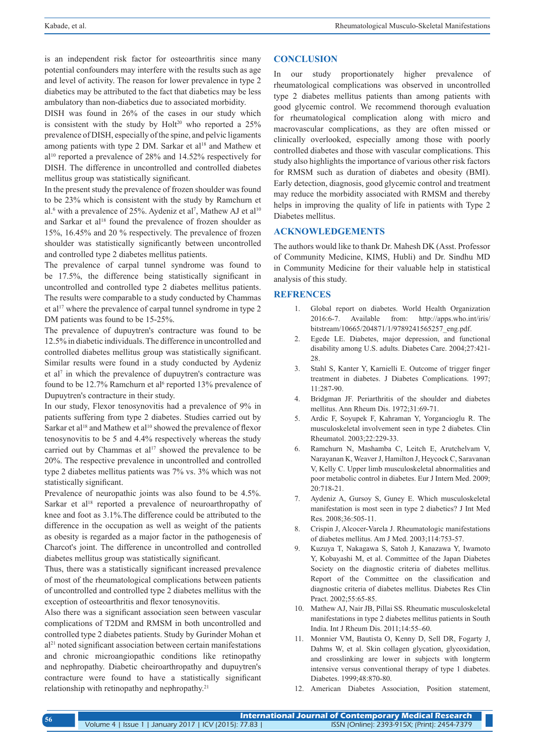is an independent risk factor for osteoarthritis since many potential confounders may interfere with the results such as age and level of activity. The reason for lower prevalence in type 2 diabetics may be attributed to the fact that diabetics may be less ambulatory than non-diabetics due to associated morbidity.

DISH was found in 26% of the cases in our study which is consistent with the study by  $Holt^{20}$  who reported a 25% prevalence of DISH, especially of the spine, and pelvic ligaments among patients with type 2 DM. Sarkar et al<sup>18</sup> and Mathew et al10 reported a prevalence of 28% and 14.52% respectively for DISH. The difference in uncontrolled and controlled diabetes mellitus group was statistically significant.

In the present study the prevalence of frozen shoulder was found to be 23% which is consistent with the study by Ramchurn et al.<sup>6</sup> with a prevalence of 25%. Aydeniz et al<sup>7</sup>, Mathew AJ et al<sup>10</sup> and Sarkar et al<sup>18</sup> found the prevalence of frozen shoulder as 15%, 16.45% and 20 % respectively. The prevalence of frozen shoulder was statistically significantly between uncontrolled and controlled type 2 diabetes mellitus patients.

The prevalence of carpal tunnel syndrome was found to be 17.5%, the difference being statistically significant in uncontrolled and controlled type 2 diabetes mellitus patients. The results were comparable to a study conducted by Chammas et al<sup>17</sup> where the prevalence of carpal tunnel syndrome in type 2 DM patients was found to be 15-25%.

The prevalence of dupuytren's contracture was found to be 12.5% in diabetic individuals. The difference in uncontrolled and controlled diabetes mellitus group was statistically significant. Similar results were found in a study conducted by Aydeniz et al<sup>7</sup> in which the prevalence of dupuytren's contracture was found to be 12.7% Ramchurn et al<sup>6</sup> reported 13% prevalence of Dupuytren's contracture in their study.

In our study, Flexor tenosynovitis had a prevalence of 9% in patients suffering from type 2 diabetes. Studies carried out by Sarkar et al<sup>18</sup> and Mathew et al<sup>10</sup> showed the prevalence of flexor tenosynovitis to be 5 and 4.4% respectively whereas the study carried out by Chammas et  $al^{17}$  showed the prevalence to be 20%. The respective prevalence in uncontrolled and controlled type 2 diabetes mellitus patients was 7% vs. 3% which was not statistically significant.

Prevalence of neuropathic joints was also found to be 4.5%. Sarkar et al<sup>18</sup> reported a prevalence of neuroarthropathy of knee and foot as 3.1%.The difference could be attributed to the difference in the occupation as well as weight of the patients as obesity is regarded as a major factor in the pathogenesis of Charcot's joint. The difference in uncontrolled and controlled diabetes mellitus group was statistically significant.

Thus, there was a statistically significant increased prevalence of most of the rheumatological complications between patients of uncontrolled and controlled type 2 diabetes mellitus with the exception of osteoarthritis and flexor tenosynovitis.

Also there was a significant association seen between vascular complications of T2DM and RMSM in both uncontrolled and controlled type 2 diabetes patients. Study by Gurinder Mohan et  $a^{21}$  noted significant association between certain manifestations and chronic microangiopathic conditions like retinopathy and nephropathy. Diabetic cheiroarthropathy and dupuytren's contracture were found to have a statistically significant relationship with retinopathy and nephropathy.<sup>21</sup>

#### **CONCLUSION**

In our study proportionately higher prevalence of rheumatological complications was observed in uncontrolled type 2 diabetes mellitus patients than among patients with good glycemic control. We recommend thorough evaluation for rheumatological complication along with micro and macrovascular complications, as they are often missed or clinically overlooked, especially among those with poorly controlled diabetes and those with vascular complications. This study also highlights the importance of various other risk factors for RMSM such as duration of diabetes and obesity (BMI). Early detection, diagnosis, good glycemic control and treatment may reduce the morbidity associated with RMSM and thereby helps in improving the quality of life in patients with Type 2 Diabetes mellitus.

## **ACKNOWLEDGEMENTS**

The authors would like to thank Dr. Mahesh DK (Asst. Professor of Community Medicine, KIMS, Hubli) and Dr. Sindhu MD in Community Medicine for their valuable help in statistical analysis of this study.

#### **REFRENCES**

- 1. Global report on diabetes. World Health Organization 2016:6-7. Available from: http://apps.who.int/iris/ bitstream/10665/204871/1/9789241565257\_eng.pdf.
- 2. Egede LE. Diabetes, major depression, and functional disability among U.S. adults. Diabetes Care. 2004;27:421- 28.
- 3. Stahl S, Kanter Y, Karnielli E. Outcome of trigger finger treatment in diabetes. J Diabetes Complications. 1997; 11:287-90.
- 4. Bridgman JF. Periarthritis of the shoulder and diabetes mellitus. Ann Rheum Dis. 1972;31:69-71.
- 5. Ardic F, Soyupek F, Kahraman Y, Yorgancioglu R. The musculoskeletal involvement seen in type 2 diabetes. Clin Rheumatol. 2003;22:229-33.
- 6. Ramchurn N, Mashamba C, Leitch E, Arutchelvam V, Narayanan K, Weaver J, Hamilton J, Heycock C, Saravanan V, Kelly C. Upper limb musculoskeletal abnormalities and poor metabolic control in diabetes. Eur J Intern Med. 2009; 20:718-21.
- 7. Aydeniz A, Gursoy S, Guney E. Which musculoskeletal manifestation is most seen in type 2 diabetics? J Int Med Res. 2008;36:505-11.
- 8. Crispin J, Alcocer-Varela J. Rheumatologic manifestations of diabetes mellitus. Am J Med. 2003;114:753-57.
- 9. Kuzuya T, Nakagawa S, Satoh J, Kanazawa Y, Iwamoto Y, Kobayashi M, et al. Committee of the Japan Diabetes Society on the diagnostic criteria of diabetes mellitus. Report of the Committee on the classification and diagnostic criteria of diabetes mellitus. Diabetes Res Clin Pract. 2002;55:65-85.
- 10. Mathew AJ, Nair JB, Pillai SS. Rheumatic musculoskeletal manifestations in type 2 diabetes mellitus patients in South India. Int J Rheum Dis. 2011;14:55–60.
- 11. Monnier VM, Bautista O, Kenny D, Sell DR, Fogarty J, Dahms W, et al. Skin collagen glycation, glycoxidation, and crosslinking are lower in subjects with longterm intensive versus conventional therapy of type 1 diabetes. Diabetes. 1999;48:870-80.
- 12. American Diabetes Association, Position statement,